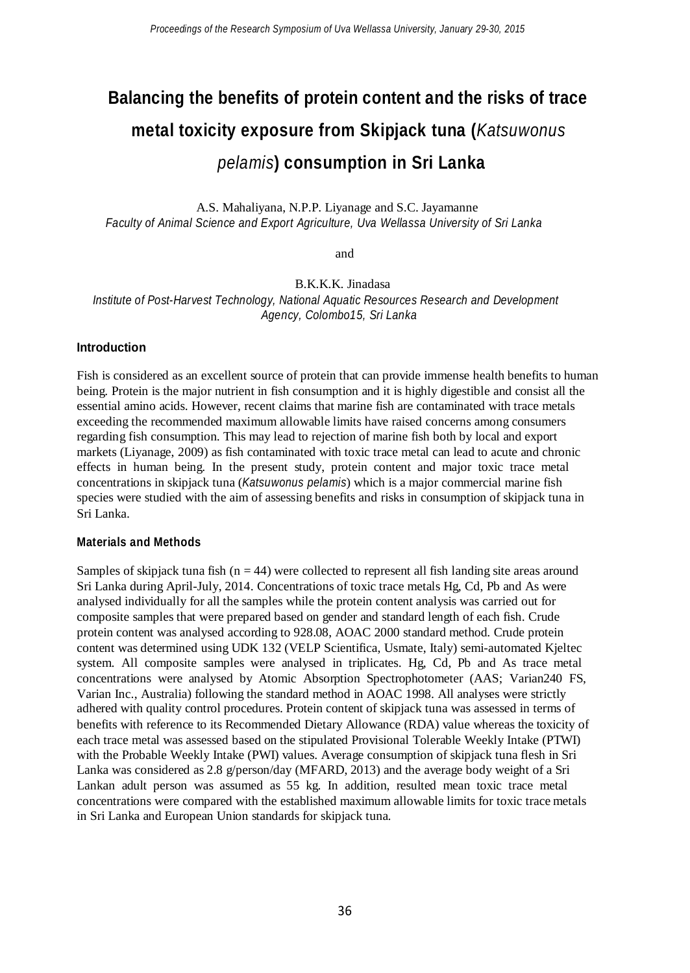# **Balancing the benefits of protein content and the risks of trace metal toxicity exposure from Skipjack tuna (***Katsuwonus pelamis***) consumption in Sri Lanka**

A.S. Mahaliyana, N.P.P. Liyanage and S.C. Jayamanne *Faculty of Animal Science and Export Agriculture, Uva Wellassa University of Sri Lanka*

and

B.K.K.K. Jinadasa *Institute of Post-Harvest Technology, National Aquatic Resources Research and Development Agency, Colombo15, Sri Lanka*

### **Introduction**

Fish is considered as an excellent source of protein that can provide immense health benefits to human being. Protein is the major nutrient in fish consumption and it is highly digestible and consist all the essential amino acids. However, recent claims that marine fish are contaminated with trace metals exceeding the recommended maximum allowable limits have raised concerns among consumers regarding fish consumption. This may lead to rejection of marine fish both by local and export markets (Liyanage, 2009) as fish contaminated with toxic trace metal can lead to acute and chronic effects in human being. In the present study, protein content and major toxic trace metal concentrations in skipjack tuna (*Katsuwonus pelamis*) which is a major commercial marine fish species were studied with the aim of assessing benefits and risks in consumption of skipjack tuna in Sri Lanka.

### **Materials and Methods**

Samples of skipjack tuna fish ( $n = 44$ ) were collected to represent all fish landing site areas around Sri Lanka during April-July, 2014. Concentrations of toxic trace metals Hg, Cd, Pb and As were analysed individually for all the samples while the protein content analysis was carried out for composite samples that were prepared based on gender and standard length of each fish. Crude protein content was analysed according to 928.08, AOAC 2000 standard method. Crude protein content was determined using UDK 132 (VELP Scientifica, Usmate, Italy) semi-automated Kjeltec system. All composite samples were analysed in triplicates. Hg, Cd, Pb and As trace metal concentrations were analysed by Atomic Absorption Spectrophotometer (AAS; Varian240 FS, Varian Inc., Australia) following the standard method in AOAC 1998. All analyses were strictly adhered with quality control procedures. Protein content of skipjack tuna was assessed in terms of benefits with reference to its Recommended Dietary Allowance (RDA) value whereas the toxicity of each trace metal was assessed based on the stipulated Provisional Tolerable Weekly Intake (PTWI) with the Probable Weekly Intake (PWI) values. Average consumption of skipjack tuna flesh in Sri Lanka was considered as 2.8 g/person/day (MFARD, 2013) and the average body weight of a Sri Lankan adult person was assumed as 55 kg. In addition, resulted mean toxic trace metal concentrations were compared with the established maximum allowable limits for toxic trace metals in Sri Lanka and European Union standards for skipjack tuna.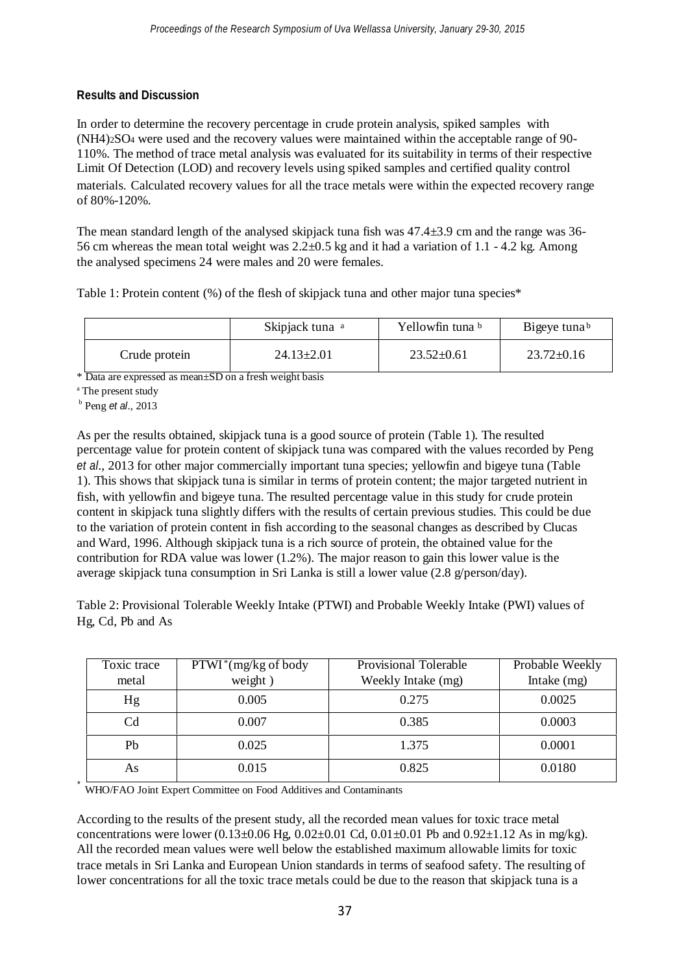## **Results and Discussion**

In order to determine the recovery percentage in crude protein analysis, spiked samples with (NH4)2SO<sup>4</sup> were used and the recovery values were maintained within the acceptable range of 90- 110%. The method of trace metal analysis was evaluated for its suitability in terms of their respective Limit Of Detection (LOD) and recovery levels using spiked samples and certified quality control materials. Calculated recovery values for all the trace metals were within the expected recovery range of 80%-120%.

The mean standard length of the analysed skipjack tuna fish was 47.4±3.9 cm and the range was 36- 56 cm whereas the mean total weight was  $2.2\pm 0.5$  kg and it had a variation of 1.1 - 4.2 kg. Among the analysed specimens 24 were males and 20 were females.

Table 1: Protein content (%) of the flesh of skipjack tuna and other major tuna species\*

|               | Skipjack tuna <sup>a</sup> | Yellowfin tuna b | Bigeye tunab     |
|---------------|----------------------------|------------------|------------------|
| Crude protein | $24.13 \pm 2.01$           | $23.52 \pm 0.61$ | $23.72 \pm 0.16$ |

\* Data are expressed as mean±SD on a fresh weight basis

<sup>a</sup> The present study

Peng *et al*., 2013 b

*\**

As per the results obtained, skipjack tuna is a good source of protein (Table 1). The resulted percentage value for protein content of skipjack tuna was compared with the values recorded by Peng *et al*., 2013 for other major commercially important tuna species; yellowfin and bigeye tuna (Table 1). This shows that skipjack tuna is similar in terms of protein content; the major targeted nutrient in fish, with yellowfin and bigeye tuna. The resulted percentage value in this study for crude protein content in skipjack tuna slightly differs with the results of certain previous studies. This could be due to the variation of protein content in fish according to the seasonal changes as described by Clucas and Ward, 1996. Although skipjack tuna is a rich source of protein, the obtained value for the contribution for RDA value was lower (1.2%). The major reason to gain this lower value is the average skipjack tuna consumption in Sri Lanka is still a lower value (2.8 g/person/day).

Table 2: Provisional Tolerable Weekly Intake (PTWI) and Probable Weekly Intake (PWI) values of Hg, Cd, Pb and As

| Toxic trace      | $PTWI^*(mg/kg \text{ of body})$ | Provisional Tolerable | Probable Weekly |
|------------------|---------------------------------|-----------------------|-----------------|
| metal            | weight)                         | Weekly Intake (mg)    | Intake $(mg)$   |
| Hg               | 0.005                           | 0.275                 | 0.0025          |
| $_{\mathrm{Cd}}$ | 0.007                           | 0.385                 | 0.0003          |
| Ph               | 0.025                           | 1.375                 | 0.0001          |
| As               | 0.015                           | 0.825                 | 0.0180          |

WHO/FAO Joint Expert Committee on Food Additives and Contaminants

According to the results of the present study, all the recorded mean values for toxic trace metal concentrations were lower  $(0.13\pm0.06 \text{ Hg}, 0.02\pm0.01 \text{ Cd}, 0.01\pm0.01 \text{ Pb} \text{ and } 0.92\pm1.12 \text{ As in mg/kg}).$ All the recorded mean values were well below the established maximum allowable limits for toxic trace metals in Sri Lanka and European Union standards in terms of seafood safety. The resulting of lower concentrations for all the toxic trace metals could be due to the reason that skipjack tuna is a